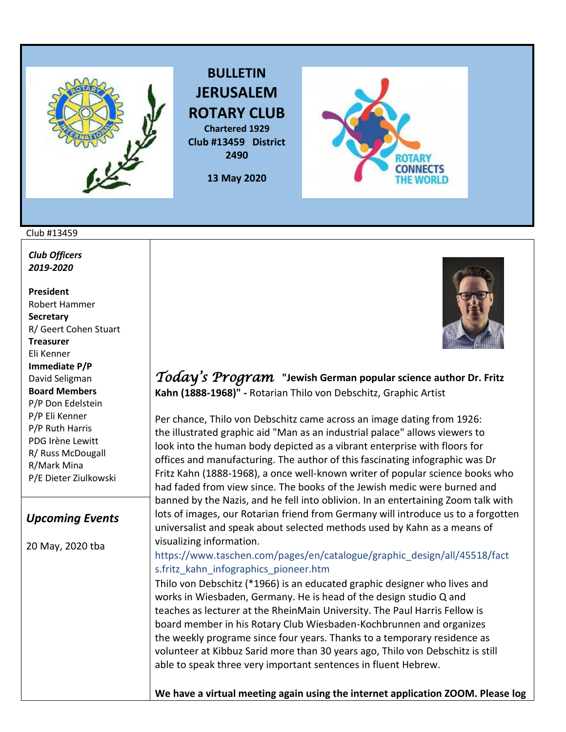

**BULLETIN JERUSALEM ROTARY CLUB Chartered 1929**

**Club #13459 District 2490**

**13 May 2020** 

## Club #13459

*Club Officers 2019-2020*

**President**  Robert Hammer **Secretary**  R/ Geert Cohen Stuart **Treasurer**  Eli Kenner **Immediate P/P**  David Seligman **Board Members**  P/P Don Edelstein P/P Eli Kenner P/P Ruth Harris PDG Irène Lewitt R/ Russ McDougall R/Mark Mina P/E Dieter Ziulkowski

## *Upcoming Events*

20 May, 2020 tba



*Today's Program* **"Jewish German popular science author Dr. Fritz Kahn (1888-1968)" -** Rotarian Thilo von Debschitz, Graphic Artist

Per chance, Thilo von Debschitz came across an image dating from 1926: the illustrated graphic aid "Man as an industrial palace" allows viewers to look into the human body depicted as a vibrant enterprise with floors for offices and manufacturing. The author of this fascinating infographic was Dr Fritz Kahn (1888-1968), a once well-known writer of popular science books who had faded from view since. The books of the Jewish medic were burned and banned by the Nazis, and he fell into oblivion. In an entertaining Zoom talk with lots of images, our Rotarian friend from Germany will introduce us to a forgotten universalist and speak about selected methods used by Kahn as a means of visualizing information.

## [https://www.taschen.com/pages/en/catalogue/graphic\\_design/all/45518/fact](https://www.taschen.com/pages/en/catalogue/graphic_design/all/45518/fact) s.fritz\_kahn\_infographics\_pioneer.htm

Thilo von Debschitz (\*1966) is an educated graphic designer who lives and works in Wiesbaden, Germany. He is head of the design studio Q and teaches as lecturer at the RheinMain University. The Paul Harris Fellow is board member in his Rotary Club Wiesbaden-Kochbrunnen and organizes the weekly programe since four years. Thanks to a temporary residence as volunteer at Kibbuz Sarid more than 30 years ago, Thilo von Debschitz is still able to speak three very important sentences in fluent Hebrew.

**We have a virtual meeting again using the internet application ZOOM. Please log**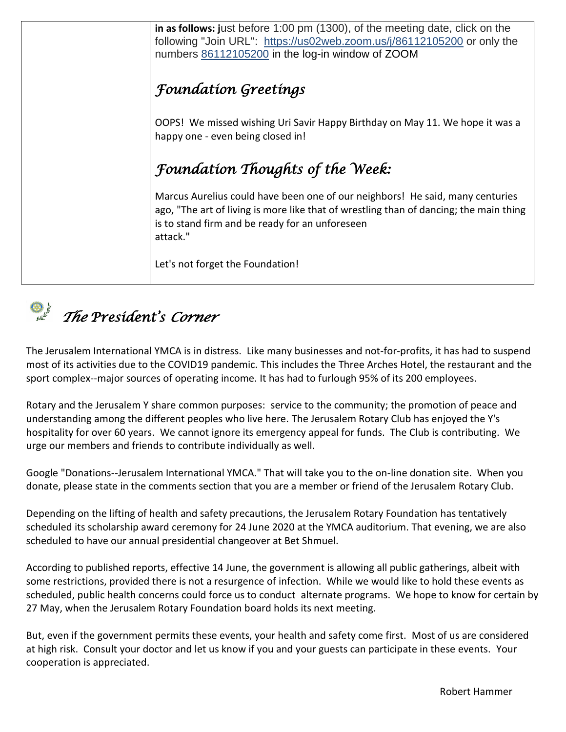| in as follows: just before 1:00 pm (1300), of the meeting date, click on the<br>following "Join URL": https://us02web.zoom.us/j/86112105200 or only the<br>numbers 86112105200 in the log-in window of ZOOM                            |
|----------------------------------------------------------------------------------------------------------------------------------------------------------------------------------------------------------------------------------------|
| <b>Foundation Greetings</b>                                                                                                                                                                                                            |
| OOPS! We missed wishing Uri Savir Happy Birthday on May 11. We hope it was a<br>happy one - even being closed in!                                                                                                                      |
| <b>Foundation Thoughts of the Week:</b>                                                                                                                                                                                                |
| Marcus Aurelius could have been one of our neighbors! He said, many centuries<br>ago, "The art of living is more like that of wrestling than of dancing; the main thing<br>is to stand firm and be ready for an unforeseen<br>attack." |
| Let's not forget the Foundation!                                                                                                                                                                                                       |



The Jerusalem International YMCA is in distress. Like many businesses and not-for-profits, it has had to suspend most of its activities due to the COVID19 pandemic. This includes the Three Arches Hotel, the restaurant and the sport complex--major sources of operating income. It has had to furlough 95% of its 200 employees.

Rotary and the Jerusalem Y share common purposes: service to the community; the promotion of peace and understanding among the different peoples who live here. The Jerusalem Rotary Club has enjoyed the Y's hospitality for over 60 years. We cannot ignore its emergency appeal for funds. The Club is contributing. We urge our members and friends to contribute individually as well.

Google "Donations--Jerusalem International YMCA." That will take you to the on-line donation site. When you donate, please state in the comments section that you are a member or friend of the Jerusalem Rotary Club.

Depending on the lifting of health and safety precautions, the Jerusalem Rotary Foundation has tentatively scheduled its scholarship award ceremony for 24 June 2020 at the YMCA auditorium. That evening, we are also scheduled to have our annual presidential changeover at Bet Shmuel.

According to published reports, effective 14 June, the government is allowing all public gatherings, albeit with some restrictions, provided there is not a resurgence of infection. While we would like to hold these events as scheduled, public health concerns could force us to conduct alternate programs. We hope to know for certain by 27 May, when the Jerusalem Rotary Foundation board holds its next meeting.

But, even if the government permits these events, your health and safety come first. Most of us are considered at high risk. Consult your doctor and let us know if you and your guests can participate in these events. Your cooperation is appreciated.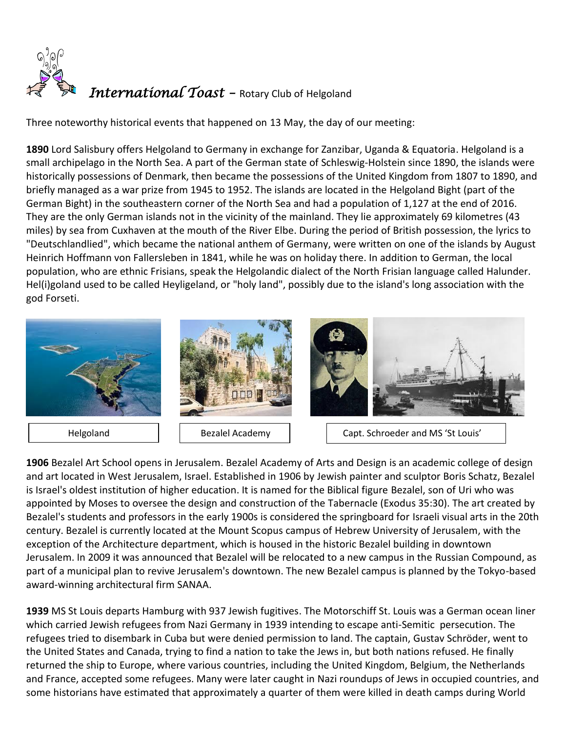

Three noteworthy historical events that happened on 13 May, the day of our meeting:

**[1890](https://www.onthisday.com/events/date/1890)** [Lord Salisbury](https://www.onthisday.com/people/robert-gascoyne-cecil) offers Helgoland to Germany in exchange for Zanzibar, Uganda & Equatoria. Helgoland is a small [archipelago](https://en.wikipedia.org/wiki/Archipelago) in the [North Sea.](https://en.wikipedia.org/wiki/North_Sea) A part of the [German](https://en.wikipedia.org/wiki/Germany) state of [Schleswig-Holstein](https://en.wikipedia.org/wiki/Schleswig-Holstein) since 1890, the islands were historically possessions o[f Denmark,](https://en.wikipedia.org/wiki/Denmark) then became the possessions of the [United Kingdom](https://en.wikipedia.org/wiki/United_Kingdom) from 1807 to 1890, and briefly managed as a war prize from 1945 to 1952. The islands are located in the [Helgoland Bight](https://en.wikipedia.org/wiki/Heligoland_Bight) (part of the [German Bight\)](https://en.wikipedia.org/wiki/German_Bight) in the southeastern corner of the North Sea and had a population of 1,127 at the end of 2016. They are the only [German islands](https://en.wikipedia.org/wiki/List_of_islands_of_Germany) not in the vicinity of the mainland. They lie approximately 69 kilometres (43 miles) by sea from [Cuxhaven](https://en.wikipedia.org/wiki/Cuxhaven) at the mouth of the [River Elbe.](https://en.wikipedia.org/wiki/River_Elbe) During the period of British possession, the lyrics to ["Deutschlandlied"](https://en.wikipedia.org/wiki/Deutschlandlied), which became the national anthem of Germany, were written on one of the islands by [August](https://en.wikipedia.org/wiki/August_Heinrich_Hoffmann_von_Fallersleben)  [Heinrich Hoffmann von Fallersleben](https://en.wikipedia.org/wiki/August_Heinrich_Hoffmann_von_Fallersleben) in 1841, while he was on holiday there. In addition to German, the local population, who are ethnic [Frisians,](https://en.wikipedia.org/wiki/Frisians) speak the [Helgolandic](https://en.wikipedia.org/wiki/Heligolandic) dialect of the [North Frisian language](https://en.wikipedia.org/wiki/North_Frisian_language) called Halunder. Hel(i)goland used to be called Heyligeland, or "holy land", possibly due to the island's long association with the god [Forseti.](https://en.wikipedia.org/wiki/Forseti)



**[1906](https://www.onthisday.com/events/date/1906)** Bezalel Art School opens in Jerusalem. Bezalel Academy of Arts and Design is an academic college of design and art located in West Jerusalem, Israel. Established in 1906 by [Jewish](https://en.wikipedia.org/wiki/Jewish) painter and sculptor [Boris Schatz,](https://en.wikipedia.org/wiki/Boris_Schatz) Bezalel is Israel's oldest institution of higher education. It is named for the Biblical figure [Bezalel,](https://en.wikipedia.org/wiki/Bezalel) son of Uri who was appointed by [Moses](https://en.wikipedia.org/wiki/Moses) to oversee the design and construction of the [Tabernacle](https://en.wikipedia.org/wiki/Tabernacle) [\(Exodus](https://en.wikipedia.org/wiki/Book_of_Exodus) 35:30). The art created by Bezalel's students and professors in the early 1900s is considered the springboard for [Israeli visual arts](https://en.wikipedia.org/wiki/Visual_arts_in_Israel) in the 20th century. Bezalel is currently located at the [Mount Scopus](https://en.wikipedia.org/wiki/Mount_Scopus) campus of [Hebrew University of Jerusalem,](https://en.wikipedia.org/wiki/Hebrew_University_of_Jerusalem) with the exception of th[e Architecture](https://en.wikipedia.org/wiki/Architecture) department, which is housed in the historic Bezalel building in downtown [Jerusalem.](https://en.wikipedia.org/wiki/Jerusalem) In 2009 it was announced that Bezalel will be relocated to a new campus in the [Russian Compound,](https://en.wikipedia.org/wiki/Russian_Compound) as part of a municipal plan to revive Jerusalem's downtown. The new Bezalel campus is planned by the Tokyo-based award-winning architectural firm [SANAA.](https://en.wikipedia.org/wiki/SANAA)

**[1939](https://www.onthisday.com/events/date/1939)** MS St Louis departs Hamburg with 937 Jewish fugitives. The Motorschiff St. Louis was a [German](https://en.wikipedia.org/wiki/Germany) [ocean liner](https://en.wikipedia.org/wiki/Ocean_liner) which carried [Jewish](https://en.wikipedia.org/wiki/Jews) refugees from [Nazi Germany](https://en.wikipedia.org/wiki/Nazi_Germany) in 1939 intending to escape anti-Semitic persecution. The refugees tried to disembark in [Cuba](https://en.wikipedia.org/wiki/Cuba) but were denied permission to land. The captain, [Gustav Schröder,](https://en.wikipedia.org/wiki/Gustav_Schr%C3%B6der) went to the [United States](https://en.wikipedia.org/wiki/United_States) and [Canada,](https://en.wikipedia.org/wiki/Canada) trying to find a nation to take the Jews in, but both nations refused. He finally returned the ship to [Europe,](https://en.wikipedia.org/wiki/Europe) where various countries, including the [United Kingdom,](https://en.wikipedia.org/wiki/United_Kingdom) [Belgium,](https://en.wikipedia.org/wiki/Belgium) the [Netherlands](https://en.wikipedia.org/wiki/Netherlands) and [France,](https://en.wikipedia.org/wiki/France) accepted some refugees. Many were later caught in [Nazi](https://en.wikipedia.org/wiki/Nazism) roundups of Jews in occupied countries, and some historians have estimated that approximately a quarter of them were killed in [death camps](https://en.wikipedia.org/wiki/Extermination_camp) during World